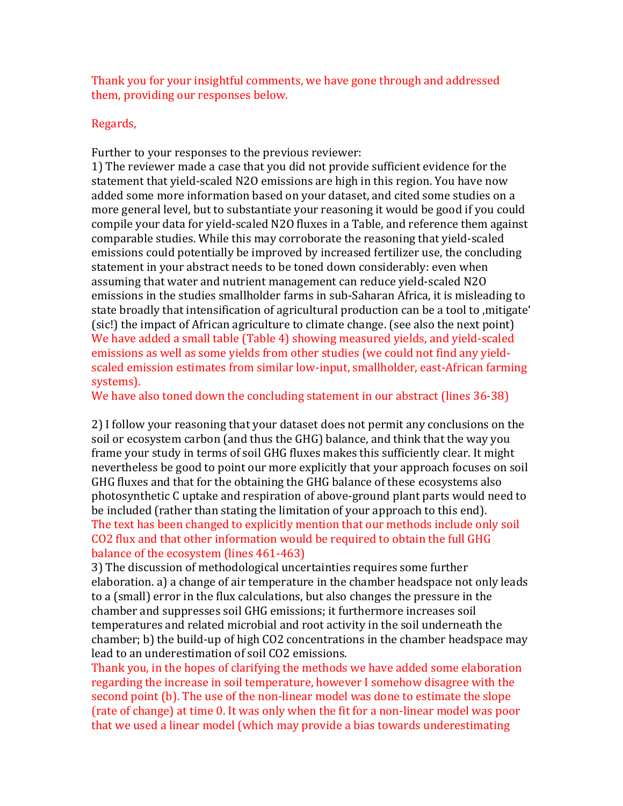Thank you for your insightful comments, we have gone through and addressed them, providing our responses below.

## Regards,

Further to your responses to the previous reviewer:

1) The reviewer made a case that you did not provide sufficient evidence for the statement that yield-scaled N2O emissions are high in this region. You have now added some more information based on your dataset, and cited some studies on a more general level, but to substantiate your reasoning it would be good if you could compile your data for yield-scaled N2O fluxes in a Table, and reference them against comparable studies. While this may corroborate the reasoning that yield-scaled emissions could potentially be improved by increased fertilizer use, the concluding statement in your abstract needs to be toned down considerably: even when assuming that water and nutrient management can reduce yield-scaled N2O emissions in the studies smallholder farms in sub-Saharan Africa, it is misleading to state broadly that intensification of agricultural production can be a tool to mitigate' (sic!) the impact of African agriculture to climate change. (see also the next point) We have added a small table (Table 4) showing measured yields, and yield-scaled emissions as well as some yields from other studies (we could not find any yieldscaled emission estimates from similar low-input, smallholder, east-African farming systems).

We have also toned down the concluding statement in our abstract (lines 36-38)

2) I follow your reasoning that your dataset does not permit any conclusions on the soil or ecosystem carbon (and thus the GHG) balance, and think that the way you frame your study in terms of soil GHG fluxes makes this sufficiently clear. It might nevertheless be good to point our more explicitly that your approach focuses on soil GHG fluxes and that for the obtaining the GHG balance of these ecosystems also photosynthetic C uptake and respiration of above-ground plant parts would need to be included (rather than stating the limitation of your approach to this end). The text has been changed to explicitly mention that our methods include only soil CO2 flux and that other information would be required to obtain the full GHG balance of the ecosystem (lines 461-463)

3) The discussion of methodological uncertainties requires some further elaboration. a) a change of air temperature in the chamber headspace not only leads to a (small) error in the flux calculations, but also changes the pressure in the chamber and suppresses soil GHG emissions; it furthermore increases soil temperatures and related microbial and root activity in the soil underneath the chamber; b) the build-up of high CO2 concentrations in the chamber headspace may lead to an underestimation of soil CO2 emissions.

Thank you, in the hopes of clarifying the methods we have added some elaboration regarding the increase in soil temperature, however I somehow disagree with the second point (b). The use of the non-linear model was done to estimate the slope (rate of change) at time 0. It was only when the fit for a non-linear model was poor that we used a linear model (which may provide a bias towards underestimating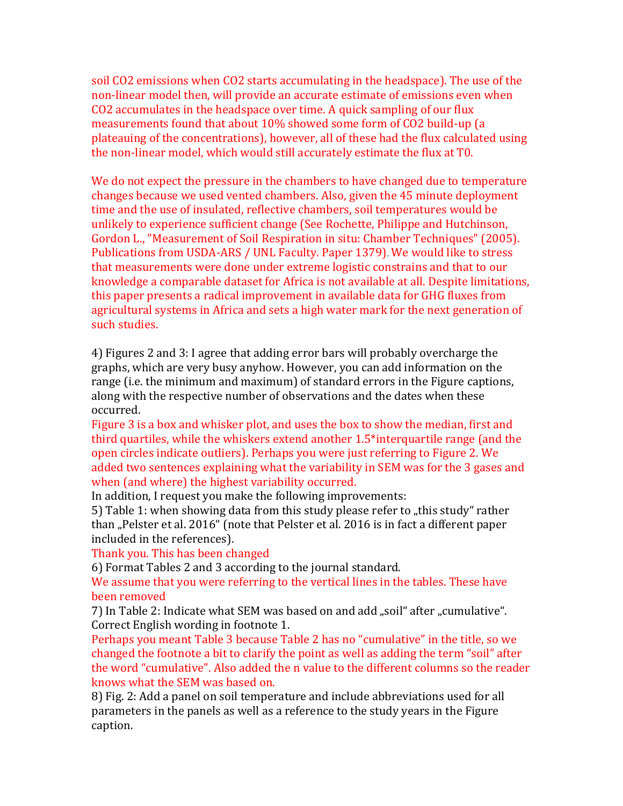soil CO2 emissions when CO2 starts accumulating in the headspace). The use of the non-linear model then, will provide an accurate estimate of emissions even when CO2 accumulates in the headspace over time. A quick sampling of our flux measurements found that about 10% showed some form of CO2 build-up (a plateauing of the concentrations), however, all of these had the flux calculated using the non-linear model, which would still accurately estimate the flux at T0.

We do not expect the pressure in the chambers to have changed due to temperature changes because we used vented chambers. Also, given the 45 minute deployment time and the use of insulated, reflective chambers, soil temperatures would be unlikely to experience sufficient change (See Rochette, Philippe and Hutchinson, Gordon L., "Measurement of Soil Respiration in situ: Chamber Techniques" (2005). Publications from USDA-ARS / UNL Faculty. Paper 1379). We would like to stress that measurements were done under extreme logistic constrains and that to our knowledge a comparable dataset for Africa is not available at all. Despite limitations, this paper presents a radical improvement in available data for GHG fluxes from agricultural systems in Africa and sets a high water mark for the next generation of such studies.

4) Figures 2 and 3: I agree that adding error bars will probably overcharge the graphs, which are very busy anyhow. However, you can add information on the range (i.e. the minimum and maximum) of standard errors in the Figure captions, along with the respective number of observations and the dates when these occurred.

Figure 3 is a box and whisker plot, and uses the box to show the median, first and third quartiles, while the whiskers extend another 1.5\*interquartile range (and the open circles indicate outliers). Perhaps you were just referring to Figure 2. We added two sentences explaining what the variability in SEM was for the 3 gases and when (and where) the highest variability occurred.

In addition, I request you make the following improvements:

5) Table 1: when showing data from this study please refer to "this study" rather than "Pelster et al. 2016" (note that Pelster et al. 2016 is in fact a different paper included in the references).

Thank you. This has been changed

6) Format Tables 2 and 3 according to the journal standard.

We assume that you were referring to the vertical lines in the tables. These have been removed

7) In Table 2: Indicate what SEM was based on and add "soil" after "cumulative". Correct English wording in footnote 1.

Perhaps you meant Table 3 because Table 2 has no "cumulative" in the title, so we changed the footnote a bit to clarify the point as well as adding the term "soil" after the word "cumulative". Also added the n value to the different columns so the reader knows what the SEM was based on.

8) Fig. 2: Add a panel on soil temperature and include abbreviations used for all parameters in the panels as well as a reference to the study years in the Figure caption.